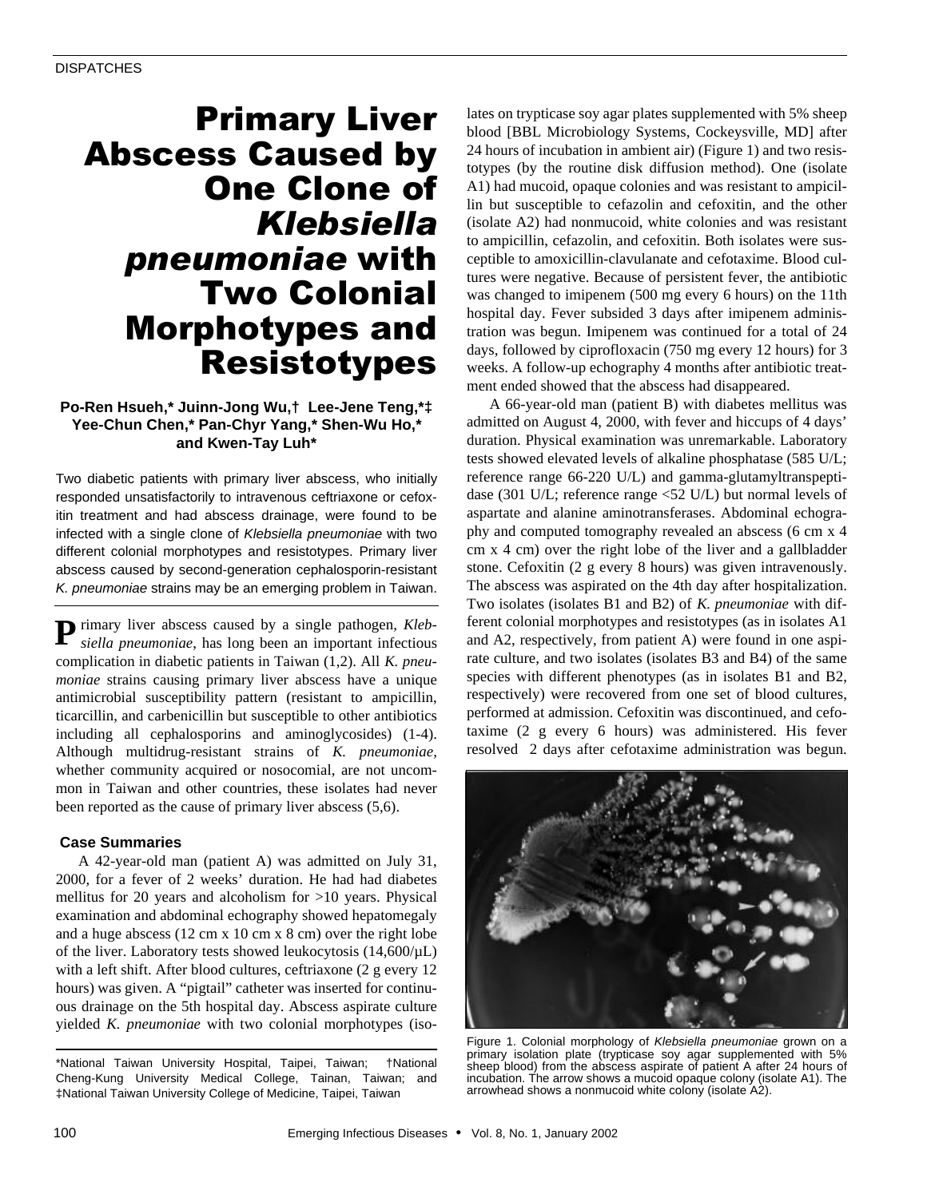# Primary Liver Abscess Caused by One Clone of *Klebsiella pneumoniae* with Two Colonial Morphotypes and Resistotypes

## **Po-Ren Hsueh,\* Juinn-Jong Wu,† Lee-Jene Teng,\*‡ Yee-Chun Chen,\* Pan-Chyr Yang,\* Shen-Wu Ho,\* and Kwen-Tay Luh\***

Two diabetic patients with primary liver abscess, who initially responded unsatisfactorily to intravenous ceftriaxone or cefoxitin treatment and had abscess drainage, were found to be infected with a single clone of *Klebsiella pneumoniae* with two different colonial morphotypes and resistotypes. Primary liver abscess caused by second-generation cephalosporin-resistant *K. pneumoniae* strains may be an emerging problem in Taiwan.

**P** rimary liver abscess caused by a single pathogen, *Kleb*-<br>*siella pneumoniae*, has long been an important infectious *siella pneumoniae*, has long been an important infectious complication in diabetic patients in Taiwan (1,2). All *K. pneumoniae* strains causing primary liver abscess have a unique antimicrobial susceptibility pattern (resistant to ampicillin, ticarcillin, and carbenicillin but susceptible to other antibiotics including all cephalosporins and aminoglycosides) (1-4). Although multidrug-resistant strains of *K. pneumoniae,* whether community acquired or nosocomial, are not uncommon in Taiwan and other countries, these isolates had never been reported as the cause of primary liver abscess (5,6).

#### **Case Summaries**

A 42-year-old man (patient A) was admitted on July 31, 2000, for a fever of 2 weeks' duration. He had had diabetes mellitus for 20 years and alcoholism for >10 years. Physical examination and abdominal echography showed hepatomegaly and a huge abscess (12 cm x 10 cm x 8 cm) over the right lobe of the liver. Laboratory tests showed leukocytosis  $(14,600/\mu L)$ with a left shift. After blood cultures, ceftriaxone (2 g every 12 hours) was given. A "pigtail" catheter was inserted for continuous drainage on the 5th hospital day. Abscess aspirate culture yielded *K. pneumoniae* with two colonial morphotypes (iso-

\*National Taiwan University Hospital, Taipei, Taiwan; †National Cheng-Kung University Medical College, Tainan, Taiwan; and ‡National Taiwan University College of Medicine, Taipei, Taiwan

lates on trypticase soy agar plates supplemented with 5% sheep blood [BBL Microbiology Systems, Cockeysville, MD] after 24 hours of incubation in ambient air) (Figure 1) and two resistotypes (by the routine disk diffusion method). One (isolate A1) had mucoid, opaque colonies and was resistant to ampicillin but susceptible to cefazolin and cefoxitin, and the other (isolate A2) had nonmucoid, white colonies and was resistant to ampicillin, cefazolin, and cefoxitin. Both isolates were susceptible to amoxicillin-clavulanate and cefotaxime. Blood cultures were negative. Because of persistent fever, the antibiotic was changed to imipenem (500 mg every 6 hours) on the 11th hospital day. Fever subsided 3 days after imipenem administration was begun. Imipenem was continued for a total of 24 days, followed by ciprofloxacin (750 mg every 12 hours) for 3 weeks. A follow-up echography 4 months after antibiotic treatment ended showed that the abscess had disappeared.

A 66-year-old man (patient B) with diabetes mellitus was admitted on August 4, 2000, with fever and hiccups of 4 days' duration. Physical examination was unremarkable. Laboratory tests showed elevated levels of alkaline phosphatase (585 U/L; reference range 66-220 U/L) and gamma-glutamyltranspeptidase (301 U/L; reference range <52 U/L) but normal levels of aspartate and alanine aminotransferases. Abdominal echography and computed tomography revealed an abscess (6 cm x 4 cm x 4 cm) over the right lobe of the liver and a gallbladder stone. Cefoxitin (2 g every 8 hours) was given intravenously. The abscess was aspirated on the 4th day after hospitalization. Two isolates (isolates B1 and B2) of *K. pneumoniae* with different colonial morphotypes and resistotypes (as in isolates A1 and A2, respectively, from patient A) were found in one aspirate culture, and two isolates (isolates B3 and B4) of the same species with different phenotypes (as in isolates B1 and B2, respectively) were recovered from one set of blood cultures, performed at admission. Cefoxitin was discontinued, and cefotaxime (2 g every 6 hours) was administered. His fever resolved 2 days after cefotaxime administration was begun.



Figure 1. Colonial morphology of *Klebsiella pneumoniae* grown on a primary isolation plate (trypticase soy agar supplemented with 5% sheep blood) from the abscess aspirate of patient A after 24 hours of incubation. The arrow shows a mucoid opaque colony (isolate A1). The arrowhead shows a nonmucoid white colony (isolate A2).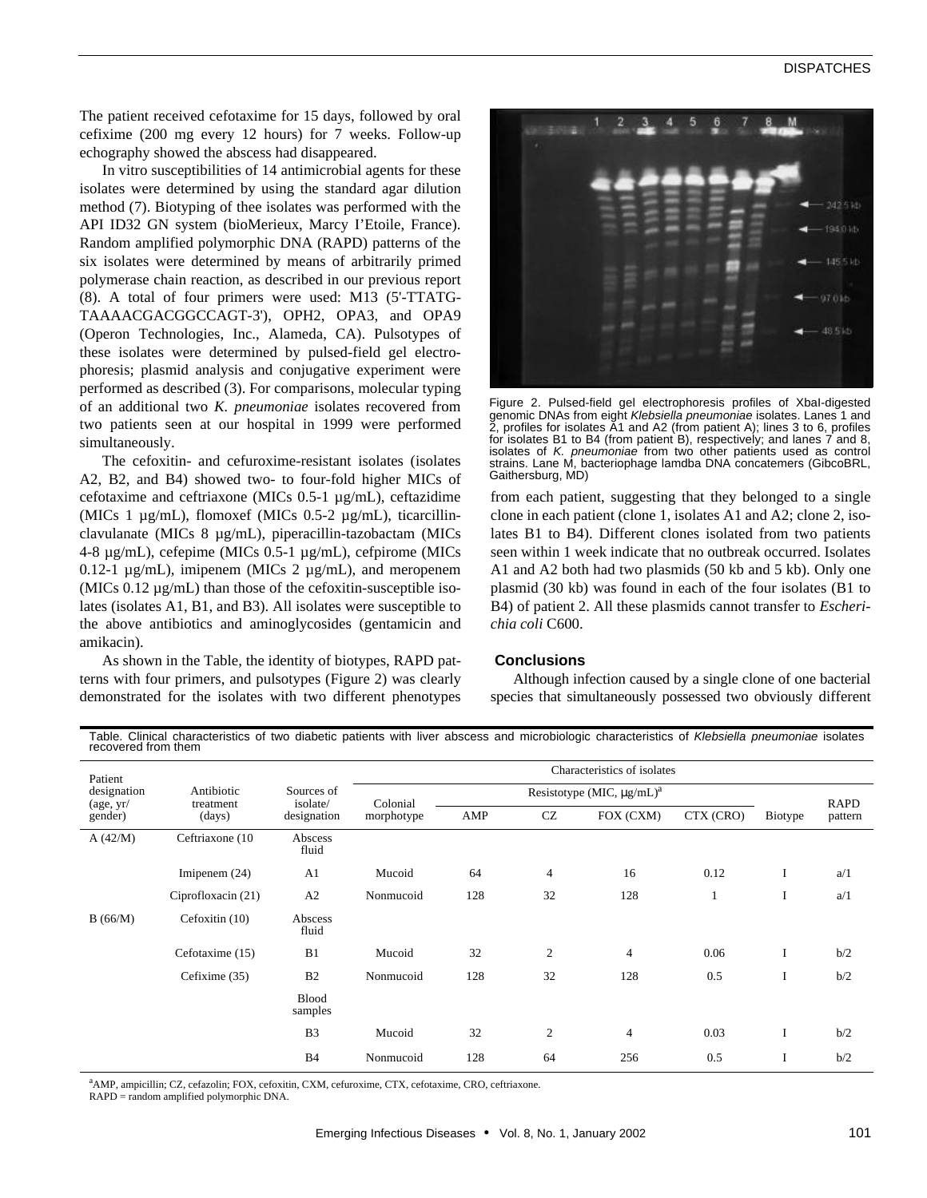## **DISPATCHES**

The patient received cefotaxime for 15 days, followed by oral cefixime (200 mg every 12 hours) for 7 weeks. Follow-up echography showed the abscess had disappeared.

In vitro susceptibilities of 14 antimicrobial agents for these isolates were determined by using the standard agar dilution method (7). Biotyping of thee isolates was performed with the API ID32 GN system (bioMerieux, Marcy I'Etoile, France). Random amplified polymorphic DNA (RAPD) patterns of the six isolates were determined by means of arbitrarily primed polymerase chain reaction, as described in our previous report (8). A total of four primers were used: M13 (5'-TTATG-TAAAACGACGGCCAGT-3'), OPH2, OPA3, and OPA9 (Operon Technologies, Inc., Alameda, CA). Pulsotypes of these isolates were determined by pulsed-field gel electrophoresis; plasmid analysis and conjugative experiment were performed as described (3). For comparisons, molecular typing of an additional two *K. pneumoniae* isolates recovered from two patients seen at our hospital in 1999 were performed simultaneously.

The cefoxitin- and cefuroxime-resistant isolates (isolates A2, B2, and B4) showed two- to four-fold higher MICs of cefotaxime and ceftriaxone (MICs 0.5-1 µg/mL), ceftazidime (MICs 1 µg/mL), flomoxef (MICs 0.5-2 µg/mL), ticarcillinclavulanate (MICs 8 µg/mL), piperacillin-tazobactam (MICs 4-8 µg/mL), cefepime (MICs 0.5-1 µg/mL), cefpirome (MICs 0.12-1  $\mu$ g/mL), imipenem (MICs 2  $\mu$ g/mL), and meropenem (MICs 0.12 µg/mL) than those of the cefoxitin-susceptible isolates (isolates A1, B1, and B3). All isolates were susceptible to the above antibiotics and aminoglycosides (gentamicin and amikacin).

As shown in the Table, the identity of biotypes, RAPD patterns with four primers, and pulsotypes (Figure 2) was clearly demonstrated for the isolates with two different phenotypes



Figure 2. Pulsed-field gel electrophoresis profiles of XbaI-digested genomic DNAs from eight *Klebsiella pneumoniae* isolates. Lanes 1 and 2, profiles for isolates A1 and A2 (from patient A); lines 3 to 6, profiles for isolates B1 to B4 (from patient B), respectively; and lanes 7 and 8, isolates of *K. pneumoniae* from two other patients used as control strains. Lane M, bacteriophage lamdba DNA concatemers (GibcoBRL, Gaithersburg, MD)

from each patient, suggesting that they belonged to a single clone in each patient (clone 1, isolates A1 and A2; clone 2, isolates B1 to B4). Different clones isolated from two patients seen within 1 week indicate that no outbreak occurred. Isolates A1 and A2 both had two plasmids (50 kb and 5 kb). Only one plasmid (30 kb) was found in each of the four isolates (B1 to B4) of patient 2. All these plasmids cannot transfer to *Escherichia coli* C600.

#### **Conclusions**

Although infection caused by a single clone of one bacterial species that simultaneously possessed two obviously different

Table. Clinical characteristics of two diabetic patients with liver abscess and microbiologic characteristics of *Klebsiella pneumoniae* isolates recovered from them

| Patient<br>designation<br>$\frac{\text{age}}{\text{yr}}$<br>gender) |                                   | Sources of<br>isolate/<br>designation | Characteristics of isolates |                                             |                |                |           |         |             |
|---------------------------------------------------------------------|-----------------------------------|---------------------------------------|-----------------------------|---------------------------------------------|----------------|----------------|-----------|---------|-------------|
|                                                                     | Antibiotic<br>treatment<br>(days) |                                       | Colonial<br>morphotype      | Resistotype (MIC, $\mu g/mL$ ) <sup>a</sup> |                |                |           |         | <b>RAPD</b> |
|                                                                     |                                   |                                       |                             | AMP                                         | CZ             | FOX (CXM)      | CTX (CRO) | Biotype | pattern     |
| A $(42/M)$                                                          | Ceftriaxone (10)                  | Abscess<br>fluid                      |                             |                                             |                |                |           |         |             |
|                                                                     | Imipenem $(24)$                   | A <sub>1</sub>                        | Mucoid                      | 64                                          | $\overline{4}$ | 16             | 0.12      | I       | a/1         |
|                                                                     | Ciprofloxacin (21)                | A2                                    | Nonmucoid                   | 128                                         | 32             | 128            |           | I       | a/1         |
| B(66/M)                                                             | Cefoxitin (10)                    | Abscess<br>fluid                      |                             |                                             |                |                |           |         |             |
|                                                                     | Cefotaxime (15)                   | B1                                    | Mucoid                      | 32                                          | $\overline{2}$ | $\overline{4}$ | 0.06      | I       | b/2         |
|                                                                     | Cefixime (35)                     | B <sub>2</sub>                        | Nonmucoid                   | 128                                         | 32             | 128            | 0.5       | I       | b/2         |
|                                                                     |                                   | <b>Blood</b><br>samples               |                             |                                             |                |                |           |         |             |
|                                                                     |                                   | B <sub>3</sub>                        | Mucoid                      | 32                                          | $\overline{c}$ | $\overline{4}$ | 0.03      | I       | b/2         |
|                                                                     |                                   | <b>B</b> 4                            | Nonmucoid                   | 128                                         | 64             | 256            | 0.5       | I       | b/2         |

<sup>a</sup>AMP, ampicillin; CZ, cefazolin; FOX, cefoxitin, CXM, cefuroxime, CTX, cefotaxime, CRO, ceftriaxone.

RAPD = random amplified polymorphic DNA.